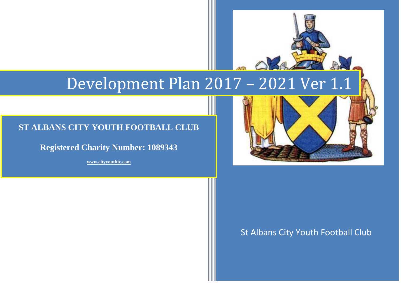# Development Plan 2017 – 2021 Ver 1.1

# **ST ALBANS CITY YOUTH FOOTBALL CLUB**

**Registered Charity Number: 1089343**

**[www.cityyouthfc.com](http://www.cityyouthfc.com/)**



# St Albans City Youth Football Club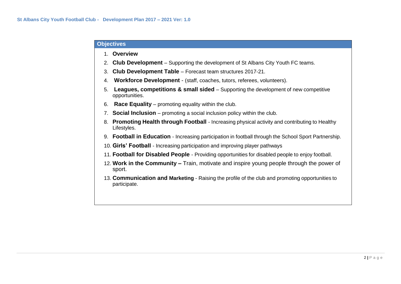#### **Objectives**

- 1. **Overview**
- 2. **Club Development** Supporting the development of St Albans City Youth FC teams.
- 3. **Club Development Table** Forecast team structures 2017-21.
- 4. **Workforce Development** (staff, coaches, tutors, referees, volunteers).
- 5. **Leagues, competitions & small sided** Supporting the development of new competitive opportunities.
- 6. **Race Equality** promoting equality within the club.
- 7. **Social Inclusion** promoting a social inclusion policy within the club.
- 8. **Promoting Health through Football** Increasing physical activity and contributing to Healthy Lifestyles.
- 9. **Football in Education** Increasing participation in football through the School Sport Partnership.
- 10. **Girls' Football** Increasing participation and improving player pathways
- 11. **Football for Disabled People** Providing opportunities for disabled people to enjoy football.
- 12. **Work in the Community –** Train, motivate and inspire young people through the power of sport.
- 13. **Communication and Marketing** Raising the profile of the club and promoting opportunities to participate.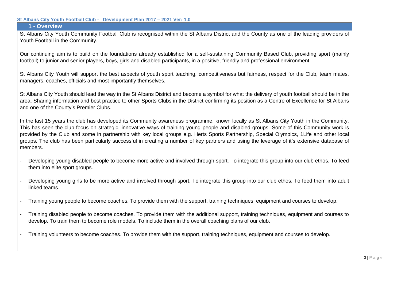## **1 - Overview**

St Albans City Youth Community Football Club is recognised within the St Albans District and the County as one of the leading providers of Youth Football in the Community.

Our continuing aim is to build on the foundations already established for a self-sustaining Community Based Club, providing sport (mainly football) to junior and senior players, boys, girls and disabled participants, in a positive, friendly and professional environment.

St Albans City Youth will support the best aspects of youth sport teaching, competitiveness but fairness, respect for the Club, team mates, managers, coaches, officials and most importantly themselves.

St Albans City Youth should lead the way in the St Albans District and become a symbol for what the delivery of youth football should be in the area. Sharing information and best practice to other Sports Clubs in the District confirming its position as a Centre of Excellence for St Albans and one of the County's Premier Clubs.

In the last 15 years the club has developed its Community awareness programme, known locally as St Albans City Youth in the Community. This has seen the club focus on strategic, innovative ways of training young people and disabled groups. Some of this Community work is provided by the Club and some in partnership with key local groups e.g. Herts Sports Partnership, Special Olympics, 1Life and other local groups. The club has been particularly successful in creating a number of key partners and using the leverage of it's extensive database of members.

- Developing young disabled people to become more active and involved through sport. To integrate this group into our club ethos. To feed them into elite sport groups.
- Developing young girls to be more active and involved through sport. To integrate this group into our club ethos. To feed them into adult linked teams.
- Training young people to become coaches. To provide them with the support, training techniques, equipment and courses to develop.
- Training disabled people to become coaches. To provide them with the additional support, training techniques, equipment and courses to develop. To train them to become role models. To include them in the overall coaching plans of our club.
- Training volunteers to become coaches. To provide them with the support, training techniques, equipment and courses to develop.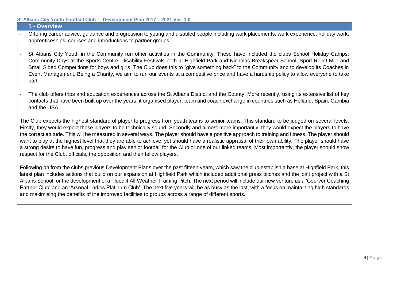#### **1 - Overview**

- Offering career advice, guidance and progression to young and disabled people including work placements, work experience, holiday work, apprenticeships, courses and introductions to partner groups.
- St Albans City Youth in the Community run other activities in the Community. These have included the clubs School Holiday Camps, Community Days at the Sports Centre, Disability Festivals both at Highfield Park and Nicholas Breakspear School, Sport Relief Mile and Small Sided Competitions for boys and girls. The Club does this to "give something back" to the Community and to develop its Coaches in Event Management. Being a Charity, we aim to run our events at a competitive price and have a hardship policy to allow everyone to take part.
- The club offers trips and education experiences across the St Albans District and the County. More recently, using its extensive list of key contacts that have been built up over the years, it organised player, team and coach exchange in countries such as Holland, Spain, Gambia and the USA.

The Club expects the highest standard of player to progress from youth teams to senior teams. This standard to be judged on several levels: Firstly, they would expect these players to be technically sound. Secondly and almost more importantly, they would expect the players to have the correct attitude. This will be measured in several ways. The player should have a positive approach to training and fitness. The player should want to play at the highest level that they are able to achieve, yet should have a realistic appraisal of their own ability. The player should have a strong desire to have fun, progress and play senior football for the Club or one of our linked teams. Most importantly, the player should show respect for the Club, officials, the opposition and their fellow players.

Following on from the clubs previous Development Plans over the past fifteen years, which saw the club establish a base at Highfield Park, this latest plan includes actions that build on our expansion at Highfield Park which included additional grass pitches and the joint project with a St Albans School for the development of a Floodlit All-Weather Training Pitch. The next period will include our new venture as a 'Coerver Coaching Partner Club' and an 'Arsenal Ladies Platinum Club'. The next five years will be as busy as the last, with a focus on maintaining high standards and maximising the benefits of the improved facilities to groups across a range of different sports.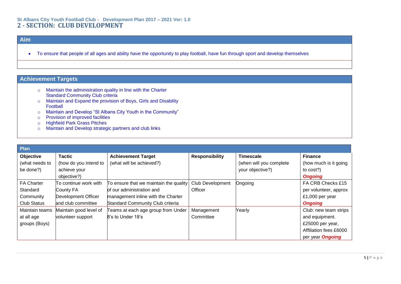#### **St Albans City Youth Football Club - Development Plan 2017 – 2021 Ver: 1.0 2 - SECTION: CLUB DEVELOPMENT**

## **Aim**

• To ensure that people of all ages and ability have the opportunity to play football, have fun through sport and develop themselves

- o Maintain the administration quality in line with the Charter Standard Community Club criteria
- o Maintain and Expand the provision of Boys, Girls and Disability Football
- o Maintain and Develop "St Albans City Youth in the Community"
- o Provision of improved facilities
- o Highfield Park Grass Pitches
- o Maintain and Develop strategic partners and club links

| Plan               |                            |                                        |                         |                         |                         |
|--------------------|----------------------------|----------------------------------------|-------------------------|-------------------------|-------------------------|
| Objective          | <b>Tactic</b>              | <b>Achievement Target</b>              | <b>Responsibility</b>   | <b>Timescale</b>        | <b>Finance</b>          |
| (what needs to     | (how do you intend to      | (what will be achieved?)               |                         | (when will you complete | (how much is it going   |
| be done?)          | achieve your               |                                        |                         | your objective?)        | to cost?)               |
|                    | objective?)                |                                        |                         |                         | <b>Ongoing</b>          |
| <b>FA Charter</b>  | To continue work with      | To ensure that we maintain the quality | <b>Club Development</b> | Ongoing                 | FA CRB Checks £15       |
| Standard           | County FA                  | of our administration and              | Officer                 |                         | per volunteer, approx   |
| Community          | <b>Development Officer</b> | management inline with the Charter     |                         |                         | £1,000 per year         |
| <b>Club Status</b> | and club committee         | Standard Community Club criteria       |                         |                         | <b>Ongoing</b>          |
| Maintain teams     | Maintain good level of     | Teams at each age group from Under     | Management              | Yearly                  | Club: new team strips   |
| at all age         | volunteer support          | 8's to Under 18's                      | Committee               |                         | and equipment.          |
| groups (Boys)      |                            |                                        |                         |                         | £25000 per year,        |
|                    |                            |                                        |                         |                         | Affiliation fees £6000  |
|                    |                            |                                        |                         |                         | per year <b>Ongoing</b> |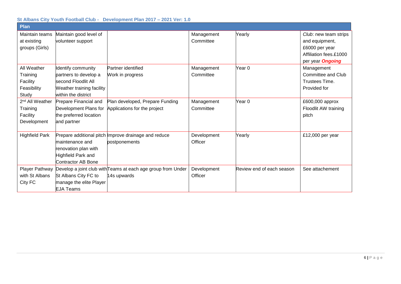| <b>Plan</b>                                                        |                                                                                                                        |                                                                             |                         |                           |                                                                                                                |
|--------------------------------------------------------------------|------------------------------------------------------------------------------------------------------------------------|-----------------------------------------------------------------------------|-------------------------|---------------------------|----------------------------------------------------------------------------------------------------------------|
| Maintain teams<br>at existing<br>groups (Girls)                    | Maintain good level of<br>volunteer support                                                                            |                                                                             | Management<br>Committee | Yearly                    | Club: new team strips<br>and equipment,<br>£6000 per year<br>Affiliation fees.£1000<br>per year <b>Ongoing</b> |
| All Weather<br>Training<br>Facility<br>Feasibility<br>Study        | Identify community<br>partners to develop a<br>second Floodlit All<br>Weather training facility<br>within the district | Partner identified<br>Work in progress                                      | Management<br>Committee | Year <sub>0</sub>         | Management<br>Committee and Club<br>Trustees Time.<br>Provided for                                             |
| 2 <sup>nd</sup> All Weather<br>Training<br>Facility<br>Development | Prepare Financial and<br>Development Plans for<br>the preferred location<br>and partner                                | Plan developed, Prepare Funding<br>Applications for the project             | Management<br>Committee | Year 0                    | £600,000 approx<br>Floodlit AW training<br>pitch                                                               |
| <b>Highfield Park</b>                                              | maintenance and<br>renovation plan with<br>Highfield Park and<br>Contractor AB Bone                                    | Prepare additional pitch Improve drainage and reduce<br>postponements       | Development<br>Officer  | Yearly                    | £12,000 per year                                                                                               |
| Player Pathway<br>with St Albans<br>City FC                        | St Albans City FC to<br>manage the elite Player<br><b>EJA Teams</b>                                                    | Develop a joint club with Teams at each age group from Under<br>14s upwards | Development<br>Officer  | Review end of each season | See attachement                                                                                                |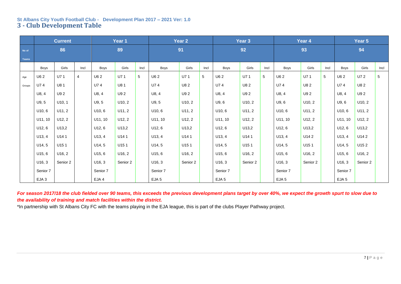#### **St Albans City Youth Football Club - Development Plan 2017 – 2021 Ver: 1.0 3 - Club Development Table**

|        |                  | <b>Current</b>    |      |          | Year 1              |                |                  | Year 2   |      |                     | Year 3   |      |                     | Year 4          |      |                     | Year 5   |      |
|--------|------------------|-------------------|------|----------|---------------------|----------------|------------------|----------|------|---------------------|----------|------|---------------------|-----------------|------|---------------------|----------|------|
| No of  |                  | 86                |      |          | 89                  |                |                  | 91       |      |                     | 92       |      |                     | 93              |      |                     | 94       |      |
| Teams  |                  |                   |      |          |                     |                |                  |          |      |                     |          |      |                     |                 |      |                     |          |      |
|        | Boys             | Girls             | Incl | Boys     | Girls               | Incl           | Boys             | Girls    | Incl | Boys                | Girls    | Incl | <b>Boys</b>         | Girls           | Incl | Boys                | Girls    | Incl |
| Age    | U6 2             | U71               | 4    | U62      | U71                 | $\overline{5}$ | U6 2             | U71      | 5    | U62                 | U71      | 5    | U62                 | U71             | 5    | U62                 | U7 2     | 5    |
| Groups | U74              | U81               |      | U74      | U81                 |                | U74              | U8 2     |      | U74                 | U82      |      | U74                 | U8 2            |      | U74                 | U82      |      |
|        | U8, 4            | U9 2              |      | U8, 4    | U9 <sub>2</sub>     |                | U8, 4            | U9 2     |      | U8, 4               | U9 2     |      | U8, 4               | U9 <sub>2</sub> |      | U8, 4               | U9 2     |      |
|        | U9, 5            | U10, 1            |      | U9, 5    | U10, 2              |                | U9, 5            | U10, 2   |      | U9, 6               | U10, 2   |      | U9, 6               | U10, 2          |      | U9, 6               | U10, 2   |      |
|        | U10, 6           | U11, 2            |      | U10, 6   | U11, 2              |                | U10, 6           | U11, 2   |      | U <sub>10</sub> , 6 | U11, 2   |      | U10, 6              | U11, 2          |      | U10, 6              | U11, 2   |      |
|        | U11, 10          | U12, 2            |      | U11, 10  | U12, 2              |                | U11, 10          | U12, 2   |      | U11, 10             | U12, 2   |      | U11, 10             | U12, 2          |      | U11, 10             | U12, 2   |      |
|        | U12, 6           | U13,2             |      | U12, 6   | U13,2               |                | U12, 6           | U13,2    |      | U12, 6              | U13,2    |      | U12, 6              | U13,2           |      | U12, 6              | U13,2    |      |
|        | U13, 4           | U141              |      | U13, 4   | U141                |                | U13, 4           | U141     |      | U13, 4              | U141     |      | U13, 4              | U142            |      | U13, 4              | U14 2    |      |
|        | U14, 5           | U <sub>15</sub> 1 |      | U14, 5   | U151                |                | U14, 5           | U151     |      | U14, 5              | U151     |      | U14, 5              | U151            |      | U14, 5              | U152     |      |
|        | U15, 6           | U16, 2            |      | U15, 6   | U <sub>16</sub> , 2 |                | U15, 6           | U16, 2   |      | U15, 6              | U16, 2   |      | U15, 6              | U16, 2          |      | U15, 6              | U16, 2   |      |
|        | U16, 3           | Senior 2          |      | U16, 3   | Senior 2            |                | U16, 3           | Senior 2 |      | U16, 3              | Senior 2 |      | U <sub>16</sub> , 3 | Senior 2        |      | U <sub>16</sub> , 3 | Senior 2 |      |
|        | Senior 7         |                   |      | Senior 7 |                     |                | Senior 7         |          |      | Senior 7            |          |      | Senior 7            |                 |      | Senior 7            |          |      |
|        | EJA <sub>3</sub> |                   |      | EJA 4    |                     |                | EJA <sub>5</sub> |          |      | EJA <sub>5</sub>    |          |      | EJA <sub>5</sub>    |                 |      | EJA <sub>5</sub>    |          |      |

*For season 2017/18 the club fielded over 90 teams, this exceeds the previous development plans target by over 40%, we expect the growth spurt to slow due to the availability of training and match facilities within the district.*

\*In partnership with St Albans City FC with the teams playing in the EJA league, this is part of the clubs Player Pathway project.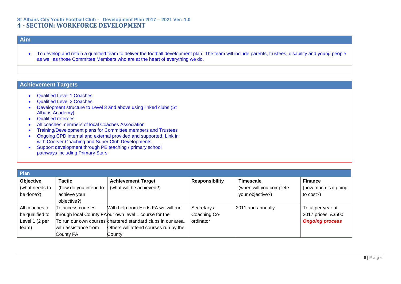#### **St Albans City Youth Football Club - Development Plan 2017 – 2021 Ver: 1.0 4 - SECTION: WORKFORCE DEVELOPMENT**

## **Aim**

• To develop and retain a qualified team to deliver the football development plan. The team will include parents, trustees, disability and young people as well as those Committee Members who are at the heart of everything we do.

- Qualified Level 1 Coaches
- Qualified Level 2 Coaches
- Development structure to Level 3 and above using linked clubs (St Albans Academy)
- Qualified referees
- All coaches members of local Coaches Association
- Training/Development plans for Committee members and Trustees
- Ongoing CPD internal and external provided and supported, Link in with Coerver Coaching and Super Club Developments
- Support development through PE teaching / primary school pathways including Primary Stars

| Plan            |                       |                                                              |                       |                         |                        |  |  |  |
|-----------------|-----------------------|--------------------------------------------------------------|-----------------------|-------------------------|------------------------|--|--|--|
| Objective       | <b>Tactic</b>         | <b>Achievement Target</b>                                    | <b>Responsibility</b> | <b>Timescale</b>        | <b>Finance</b>         |  |  |  |
| (what needs to  | (how do you intend to | (what will be achieved?)                                     |                       | (when will you complete | (how much is it going  |  |  |  |
| be done?)       | achieve your          |                                                              |                       | your objective?)        | to cost?)              |  |  |  |
|                 | objective?)           |                                                              |                       |                         |                        |  |  |  |
| All coaches to  | To access courses     | With help from Herts FA we will run                          | Secretary /           | 2011 and annually       | Total per year at      |  |  |  |
| be qualified to |                       | through local County FAour own level 1 course for the        | Coaching Co-          |                         | 2017 prices, £3500     |  |  |  |
| Level 1 (2 per  |                       | To run our own courses chartered standard clubs in our area. | ordinator             |                         | <b>Ongoing process</b> |  |  |  |
| team)           | with assistance from  | Others will attend courses run by the                        |                       |                         |                        |  |  |  |
|                 | County FA             | County,                                                      |                       |                         |                        |  |  |  |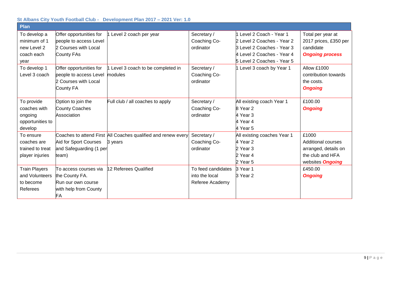| Plan                                                                 |                                                                                                |                                                                          |                                                         |                                                                                                                                                  |                                                                                                           |
|----------------------------------------------------------------------|------------------------------------------------------------------------------------------------|--------------------------------------------------------------------------|---------------------------------------------------------|--------------------------------------------------------------------------------------------------------------------------------------------------|-----------------------------------------------------------------------------------------------------------|
| To develop a<br>minimum of 1<br>new Level 2<br>coach each<br>year    | Offer opportunities for<br>people to access Level<br>2 Courses with Local<br>County FAs        | Level 2 coach per year                                                   | Secretary /<br>Coaching Co-<br>ordinator                | 1 Level 2 Coach - Year 1<br>2 Level 2 Coaches - Year 2<br>3 Level 2 Coaches - Year 3<br>4 Level 2 Coaches - Year 4<br>5 Level 2 Coaches - Year 5 | Total per year at<br>2017 prices, £350 per<br>candidate<br><b>Ongoing process</b>                         |
| To develop 1<br>Level 3 coach                                        | Offer opportunities for<br>people to access Level modules<br>2 Courses with Local<br>County FA | Level 3 coach to be completed in                                         | Secretary /<br>Coaching Co-<br>ordinator                | 1 Level 3 coach by Year 1                                                                                                                        | Allow £1000<br>contribution towards<br>the costs.<br><b>Ongoing</b>                                       |
| To provide<br>coaches with<br>ongoing<br>opportunities to<br>develop | Option to join the<br><b>County Coaches</b><br>Association                                     | Full club / all coaches to apply                                         | Secretary /<br>Coaching Co-<br>ordinator                | All existing coach Year 1<br>8 Year 2<br>4 Year 3<br>4 Year 4<br>4 Year 5                                                                        | £100.00<br><b>Ongoing</b>                                                                                 |
| To ensure<br>coaches are<br>trained to treat<br>player injuries      | Aid for Sport Courses<br>and Safeguarding (1 per<br>team)                                      | Coaches to attend First All Coaches qualified and renew every<br>3 years | Secretary /<br>Coaching Co-<br>ordinator                | All existing coaches Year 1<br>4 Year 2<br>2 Year 3<br>2 Year 4<br>2 Year 5                                                                      | £1000<br><b>Additional courses</b><br>arranged, details on<br>the club and HFA<br>websites <b>Ongoing</b> |
| <b>Train Players</b><br>and Volunteers<br>to become<br>Referees      | To access courses via<br>the County FA.<br>Run our own course<br>with help from County<br>FA   | 12 Referees Qualified                                                    | To feed candidates<br>into the local<br>Referee Academy | 3 Year 1<br>3 Year 2                                                                                                                             | £450.00<br><b>Ongoing</b>                                                                                 |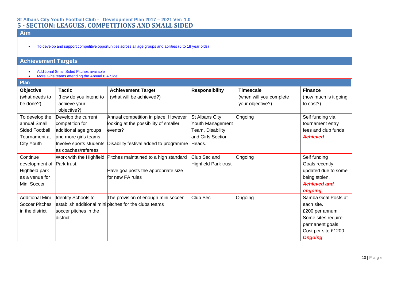#### **St Albans City Youth Football Club - Development Plan 2017 – 2021 Ver: 1.0 5 - SECTION: LEAGUES, COMPETITIONS AND SMALL SIDED**

## **Aim**

• To develop and support competitive opportunities across all age groups and abilities (5 to 18 year olds)

- Additional Small Sided Pitches available
- More Girls teams attending the Annual 6 A Side

| <b>Plan</b>                                                                     |                                                                                                                                           |                                                                                                                                    |                                                                                       |                                                                 |                                                                                                                                        |
|---------------------------------------------------------------------------------|-------------------------------------------------------------------------------------------------------------------------------------------|------------------------------------------------------------------------------------------------------------------------------------|---------------------------------------------------------------------------------------|-----------------------------------------------------------------|----------------------------------------------------------------------------------------------------------------------------------------|
| Objective<br>(what needs to<br>be done?)                                        | <b>Tactic</b><br>(how do you intend to<br>achieve your<br>objective?)                                                                     | <b>Achievement Target</b><br>(what will be achieved?)                                                                              | <b>Responsibility</b>                                                                 | <b>Timescale</b><br>(when will you complete<br>your objective?) | <b>Finance</b><br>(how much is it going<br>to cost?)                                                                                   |
| To develop the<br>annual Small<br>Sided Football<br>Tournament at<br>City Youth | Develop the current<br>competition for<br>additional age groups<br>and more girls teams<br>Involve sports students<br>as coaches/referees | Annual competition in place. However<br>looking at the possibility of smaller<br>events?<br>Disability festival added to programme | St Albans City<br>Youth Management<br>Team, Disability<br>and Girls Section<br>Heads. | Ongoing                                                         | Self funding via<br>tournament entry<br>fees and club funds<br><b>Achieved</b>                                                         |
| Continue<br>development of<br>Highfield park<br>as a venue for<br>Mini Soccer   | Work with the Highfield<br>Park trust.                                                                                                    | Pitches maintained to a high standard<br>Have goalposts the appropriate size<br>for new FA rules                                   | Club Sec and<br><b>Highfield Park trust</b>                                           | Ongoing                                                         | Self funding<br>Goals recently<br>updated due to some<br>being stolen.<br><b>Achieved and</b><br>ongoing                               |
| <b>Additional Mini</b><br><b>Soccer Pitches</b><br>in the district              | Identify Schools to<br>soccer pitches in the<br>district                                                                                  | The provision of enough mini soccer<br>establish additional mini pitches for the clubs teams                                       | Club Sec                                                                              | Ongoing                                                         | Samba Goal Posts at<br>each site.<br>£200 per annum<br>Some sites require<br>permanent goals<br>Cost per site £1200.<br><b>Ongoing</b> |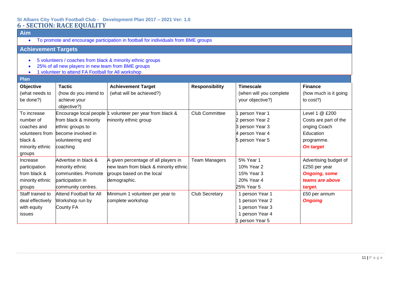#### **St Albans City Youth Football Club - Development Plan 2017 – 2021 Ver: 1.0 6 - SECTION: RACE EQUALITY**

## **Aim**

• To promote and encourage participation in football for individuals from BME groups

## **Achievement Targets**

- 5 volunteers / coaches from black & minority ethnic groups
- 25% of all new players in new team from BME groups
- 1 volunteer to attend FA Football for All workshop

#### **Plan**

| т тан            |                                |                                       |                       |                         |                       |
|------------------|--------------------------------|---------------------------------------|-----------------------|-------------------------|-----------------------|
| Objective        | <b>Tactic</b>                  | <b>Achievement Target</b>             | <b>Responsibility</b> | <b>Timescale</b>        | <b>Finance</b>        |
| (what needs to   | (how do you intend to          | (what will be achieved?)              |                       | (when will you complete | (how much is it going |
| be done?)        | achieve your                   |                                       |                       | your objective?)        | to $cost$ ?)          |
|                  | objective?)                    |                                       |                       |                         |                       |
| To increase      | Encourage local people         | volunteer per year from black &       | <b>Club Committee</b> | person Year 1           | Level 1 @ £200        |
| number of        | from black & minority          | minority ethnic group                 |                       | 2 person Year 2         | Costs are part of the |
| coaches and      | ethnic groups to               |                                       |                       | 3 person Year 3         | onging Coach          |
| volunteers from  | become involved in             |                                       |                       | 4 person Year 4         | Education             |
| black &          | volunteering and               |                                       |                       | 5 person Year 5         | programme.            |
| minority ethnic  | coaching                       |                                       |                       |                         | <b>On target</b>      |
| groups           |                                |                                       |                       |                         |                       |
| Increase         | Advertise in black &           | A given percentage of all players in  | <b>Team Managers</b>  | 5% Year 1               | Advertising budget of |
| participation    | minority ethnic                | new team from black & minority ethnic |                       | 10% Year 2              | £250 per year         |
| from black &     | communities. Promote           | groups based on the local             |                       | 15% Year 3              | <b>Ongoing, some</b>  |
| minority ethnic  | participation in               | demographic.                          |                       | 20% Year 4              | teams are above       |
| groups           | community centres.             |                                       |                       | 25% Year 5              | target.               |
| Staff trained to | <b>Attend Football for All</b> | Minimum 1 volunteer per year to       | <b>Club Secretary</b> | 1 person Year 1         | £50 per annum         |
| deal effectively | Workshop run by                | complete workshop                     |                       | 1 person Year 2         | <b>Ongoing</b>        |
| with equity      | County FA                      |                                       |                       | 1 person Year 3         |                       |
| issues           |                                |                                       |                       | 1 person Year 4         |                       |
|                  |                                |                                       |                       | person Year 5           |                       |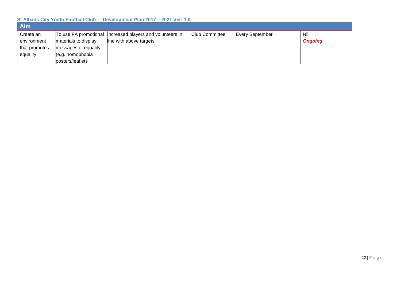| Aim           |                      |                                                             |                       |                        |                |
|---------------|----------------------|-------------------------------------------------------------|-----------------------|------------------------|----------------|
| Create an     |                      | To use FA promotional   Increased players and volunteers in | <b>Club Committee</b> | <b>Every September</b> | Nil            |
| environment   | materials to display | line with above targets                                     |                       |                        | <b>Ongoing</b> |
| that promotes | messages of equality |                                                             |                       |                        |                |
| equality      | (e.g. homophobia     |                                                             |                       |                        |                |
|               | posters/leaflets     |                                                             |                       |                        |                |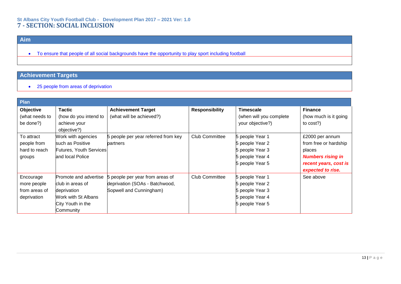#### **St Albans City Youth Football Club - Development Plan 2017 – 2021 Ver: 1.0 7 - SECTION: SOCIAL INCLUSION**

## **Aim**

• To ensure that people of all social backgrounds have the opportunity to play sport including football

## **Achievement Targets**

• 25 people from areas of deprivation

| Plan           |                                |                                     |                       |                         |                          |
|----------------|--------------------------------|-------------------------------------|-----------------------|-------------------------|--------------------------|
| Objective      | <b>Tactic</b>                  | <b>Achievement Target</b>           | <b>Responsibility</b> | <b>Timescale</b>        | <b>Finance</b>           |
| (what needs to | (how do you intend to          | (what will be achieved?)            |                       | (when will you complete | (how much is it going    |
| be done?)      | achieve your                   |                                     |                       | your objective?)        | to cost?)                |
|                | objective?)                    |                                     |                       |                         |                          |
| To attract     | Work with agencies             | 5 people per year referred from key | <b>Club Committee</b> | 5 people Year 1         | £2000 per annum          |
| people from    | such as Positive               | partners                            |                       | 5 people Year 2         | from free or hardship    |
| hard to reach  | <b>Futures, Youth Services</b> |                                     |                       | 5 people Year 3         | places                   |
| groups         | and local Police               |                                     |                       | 5 people Year 4         | <b>Numbers rising in</b> |
|                |                                |                                     |                       | 5 people Year 5         | recent years, cost is    |
|                |                                |                                     |                       |                         | expected to rise.        |
| Encourage      | Promote and advertise          | 5 people per year from areas of     | <b>Club Committee</b> | 5 people Year 1         | See above                |
| more people    | club in areas of               | deprivation (SOAs - Batchwood,      |                       | 5 people Year 2         |                          |
| from areas of  | deprivation                    | Sopwell and Cunningham)             |                       | 5 people Year 3         |                          |
| deprivation    | Work with St Albans            |                                     |                       | 5 people Year 4         |                          |
|                | City Youth in the              |                                     |                       | 5 people Year 5         |                          |
|                | Community                      |                                     |                       |                         |                          |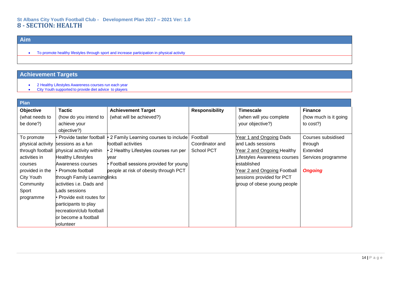## **Aim**

• To promote healthy lifestyles through sport and increase participation in physical activity

- 2 Healthy Lifestyles Awareness courses run each year
- City Youth supported to provide diet advice to players

| Plan              |                              |                                        |                       |                              |                       |
|-------------------|------------------------------|----------------------------------------|-----------------------|------------------------------|-----------------------|
| Objective         | <b>Tactic</b>                | <b>Achievement Target</b>              | <b>Responsibility</b> | <b>Timescale</b>             | <b>Finance</b>        |
| (what needs to    | (how do you intend to        | (what will be achieved?)               |                       | (when will you complete      | (how much is it going |
| be done?)         | achieve your                 |                                        |                       | your objective?)             | to cost?)             |
|                   | objective?)                  |                                        |                       |                              |                       |
| To promote        | • Provide taster football    | 2 Family Learning courses to include   | Football              | Year 1 and Ongoing Dads      | Courses subsidised    |
| physical activity | sessions as a fun            | football activities                    | Coordinator and       | and Lads sessions            | through               |
| through football  | physical activity within     | • 2 Healthy Lifestyles courses run per | <b>School PCT</b>     | Year 2 and Ongoing Healthy   | Extended              |
| activities in     | <b>Healthy Lifestyles</b>    | year                                   |                       | Lifestyles Awareness courses | Services programme    |
| courses           | Awareness courses            | • Football sessions provided for young |                       | lestablished                 |                       |
| provided in the   | l• Promote football          | people at risk of obesity through PCT  |                       | Year 2 and Ongoing Football  | <b>Ongoing</b>        |
| City Youth        | through Family Learninglinks |                                        |                       | sessions provided for PCT    |                       |
| Community         | activities i.e. Dads and     |                                        |                       | group of obese young people  |                       |
| Sport             | Lads sessions                |                                        |                       |                              |                       |
| programme         | • Provide exit routes for    |                                        |                       |                              |                       |
|                   | participants to play         |                                        |                       |                              |                       |
|                   | recreation/club football     |                                        |                       |                              |                       |
|                   | or become a football         |                                        |                       |                              |                       |
|                   | volunteer                    |                                        |                       |                              |                       |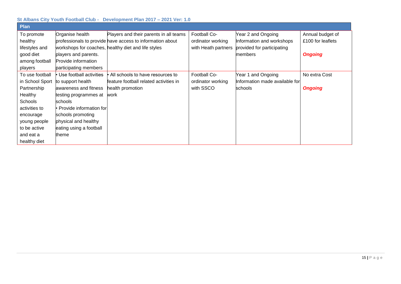| <b>Plan</b>     |                           |                                                           |                     |                                |                   |
|-----------------|---------------------------|-----------------------------------------------------------|---------------------|--------------------------------|-------------------|
| To promote      | Organise health           | Players and their parents in all teams                    | Football Co-        | Year 2 and Ongoing             | Annual budget of  |
| healthy         |                           | professionals to provide have access to information about | ordinator working   | Information and workshops      | £100 for leaflets |
| lifestyles and  |                           | workshops for coaches, healthy diet and life styles       | with Heath partners | provided for participating     |                   |
| good diet       | players and parents.      |                                                           |                     | members                        | <b>Ongoing</b>    |
| among football  | Provide information       |                                                           |                     |                                |                   |
| players         | participating members     |                                                           |                     |                                |                   |
| To use football | Use football activities   | All schools to have resources to                          | Football Co-        | Year 1 and Ongoing             | No extra Cost     |
| in School Sport | to support health         | feature football related activities in                    | ordinator working   | Information made available for |                   |
| Partnership     | awareness and fitness     | health promotion                                          | with SSCO           | schools                        | <b>Ongoing</b>    |
| Healthy         | testing programmes at     | work                                                      |                     |                                |                   |
| <b>Schools</b>  | schools                   |                                                           |                     |                                |                   |
| activities to   | • Provide information for |                                                           |                     |                                |                   |
| encourage       | schools promoting         |                                                           |                     |                                |                   |
| young people    | physical and healthy      |                                                           |                     |                                |                   |
| to be active    | eating using a football   |                                                           |                     |                                |                   |
| and eat a       | theme                     |                                                           |                     |                                |                   |
| healthy diet    |                           |                                                           |                     |                                |                   |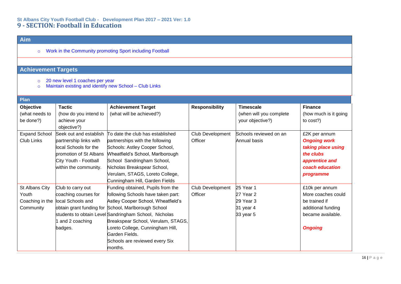#### **St Albans City Youth Football Club - Development Plan 2017 – 2021 Ver: 1.0 9 - SECTION: Football in Education**

## **Aim**

o Work in the Community promoting Sport including Football

- o 20 new level 1 coaches per year
- o Maintain existing and identify new School Club Links

| Plan                                                    |                                                                                                                                                       |                                                                                                                                                                                                                                                                                                                                                                       |                             |                                                                   |                                                                                                                           |
|---------------------------------------------------------|-------------------------------------------------------------------------------------------------------------------------------------------------------|-----------------------------------------------------------------------------------------------------------------------------------------------------------------------------------------------------------------------------------------------------------------------------------------------------------------------------------------------------------------------|-----------------------------|-------------------------------------------------------------------|---------------------------------------------------------------------------------------------------------------------------|
| Objective<br>(what needs to<br>be done?)                | <b>Tactic</b><br>(how do you intend to<br>achieve your<br>objective?)                                                                                 | <b>Achievement Target</b><br>(what will be achieved?)                                                                                                                                                                                                                                                                                                                 | <b>Responsibility</b>       | <b>Timescale</b><br>(when will you complete<br>your objective?)   | <b>Finance</b><br>(how much is it going<br>to cost?)                                                                      |
| <b>Expand School</b><br><b>Club Links</b>               | Seek out and establish<br>partnership links with<br>local Schools for the<br>promotion of St Albans<br>City Youth - Football<br>within the community. | To date the club has established<br>partnerships with the following<br>Schools: Astley Cooper School,<br>Wheatfield's School, Marlborough<br>School Sandringham School,<br>Nicholas Breakspear School,<br>Verulam, STAGS, Loreto College,<br>Cunningham Hill, Garden Fields                                                                                           | Club Development<br>Officer | Schools reviewed on an<br>Annual basis                            | £2K per annum<br><b>Ongoing work</b><br>taking place using<br>the clubs<br>apprentice and<br>coach education<br>programme |
| St Albans City<br>Youth<br>Coaching in the<br>Community | Club to carry out<br>coaching courses for<br>local Schools and<br>and 2 coaching<br>badges.                                                           | Funding obtained, Pupils from the<br>following Schools have taken part:<br>Astley Cooper School, Wheatfield's<br>obtain grant funding for School, Marlborough School<br>students to obtain Level Sandringham School, Nicholas<br>Breakspear School, Verulam, STAGS,<br>oreto College, Cunningham Hill,<br>Garden Fields.<br>Schools are reviewed every Six<br>months. | Club Development<br>Officer | 25 Year 1<br>$27$ Year 2<br>29 Year 3<br>31 year 4<br>$33$ year 5 | £10k per annum<br>More coaches could<br>be trained if<br>additional funding<br>became available.<br><b>Ongoing</b>        |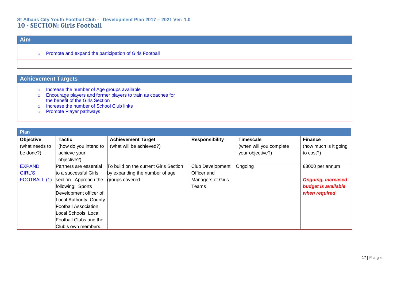#### **St Albans City Youth Football Club - Development Plan 2017 – 2021 Ver: 1.0 10 - SECTION: Girls Football**

## **Aim**

o Promote and expand the participation of Girls Football

- o Increase the number of Age groups available
- o Encourage players and former players to train as coaches for the benefit of the Girls Section
- o Increase the number of School Club links
- o Promote Player pathways

| Plan           |                         |                                       |                       |                         |                           |
|----------------|-------------------------|---------------------------------------|-----------------------|-------------------------|---------------------------|
| Objective      | <b>Tactic</b>           | <b>Achievement Target</b>             | <b>Responsibility</b> | <b>Timescale</b>        | <b>Finance</b>            |
| (what needs to | (how do you intend to   | (what will be achieved?)              |                       | (when will you complete | (how much is it going     |
| be done?)      | achieve your            |                                       |                       | your objective?)        | to cost?)                 |
|                | objective?)             |                                       |                       |                         |                           |
| <b>EXPAND</b>  | Partners are essential  | To build on the current Girls Section | Club Development      | Ongoing                 | £3000 per annum           |
| <b>GIRL'S</b>  | to a successful Girls   | by expanding the number of age        | Officer and           |                         |                           |
| FOOTBALL (1)   | section. Approach the   | groups covered.                       | Managers of Girls     |                         | <b>Ongoing, increased</b> |
|                | following: Sports       |                                       | Teams                 |                         | budget is available       |
|                | Development officer of  |                                       |                       |                         | when required             |
|                | Local Authority, County |                                       |                       |                         |                           |
|                | Football Association,   |                                       |                       |                         |                           |
|                | Local Schools, Local    |                                       |                       |                         |                           |
|                | Football Clubs and the  |                                       |                       |                         |                           |
|                | Club's own members.     |                                       |                       |                         |                           |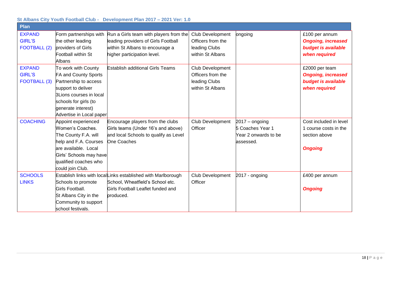| Plan                                                  |                                                                                                                                                                                                  |                                                                                                                                                    |                                                                                   |                                                                           |                                                                                            |
|-------------------------------------------------------|--------------------------------------------------------------------------------------------------------------------------------------------------------------------------------------------------|----------------------------------------------------------------------------------------------------------------------------------------------------|-----------------------------------------------------------------------------------|---------------------------------------------------------------------------|--------------------------------------------------------------------------------------------|
| <b>EXPAND</b><br><b>GIRL'S</b><br><b>FOOTBALL (2)</b> | Form partnerships with<br>the other leading<br>providers of Girls<br>Football within St<br>Albans                                                                                                | Run a Girls team with players from the<br>leading providers of Girls Football<br>within St Albans to encourage a<br>higher participation level.    | <b>Club Development</b><br>Officers from the<br>leading Clubs<br>within St Albans | ongoing                                                                   | £100 per annum<br><b>Ongoing, increased</b><br><b>budget is available</b><br>when required |
| <b>EXPAND</b><br><b>GIRL'S</b><br><b>FOOTBALL (3)</b> | To work with County<br>FA and County Sports<br>Partnership to access<br>support to deliver<br>3Lions courses in local<br>schools for girls (to<br>generate interest)<br>Advertise in Local paper | <b>Establish additional Girls Teams</b>                                                                                                            | Club Development<br>Officers from the<br>leading Clubs<br>within St Albans        |                                                                           | £2000 per team<br><b>Ongoing, increased</b><br>budget is available<br>when required        |
| <b>COACHING</b>                                       | Appoint experienced<br>Women's Coaches.<br>The County F.A. will<br>help and F.A. Courses<br>are available. Local<br>Girls' Schools may have<br>qualified coaches who<br>could join Club.         | Encourage players from the clubs<br>Girls teams (Under 16's and above)<br>and local Schools to qualify as Level<br>One Coaches                     | Club Development<br>Officer                                                       | $2017 -$ ongoing<br>5 Coaches Year 1<br>Year 2 onwards to be<br>assessed. | Cost included in level<br>1 course costs in the<br>section above<br><b>Ongoing</b>         |
| <b>SCHOOLS</b><br><b>LINKS</b>                        | Schools to promote<br>Girls Football.<br>St Albans City in the<br>Community to support<br>school festivals.                                                                                      | Establish links with localLinks established with Marlborough<br>School, Wheatfield's School etc.<br>Girls Football Leaflet funded and<br>produced. | Club Development<br>Officer                                                       | 2017 - ongoing                                                            | £400 per annum<br><b>Ongoing</b>                                                           |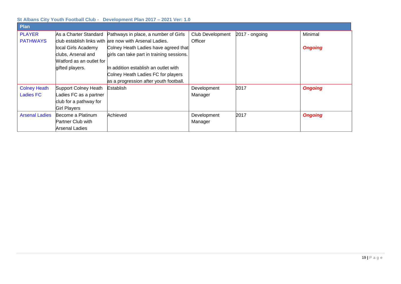| Plan                  |                          |                                                            |                  |                |                |
|-----------------------|--------------------------|------------------------------------------------------------|------------------|----------------|----------------|
| <b>PLAYER</b>         |                          | As a Charter Standard Pathways in place, a number of Girls | Club Development | 2017 - ongoing | Minimal        |
| <b>PATHWAYS</b>       |                          | club establish links with are now with Arsenal Ladies.     | Officer          |                |                |
|                       | local Girls Academy      | Colney Heath Ladies have agreed that                       |                  |                | <b>Ongoing</b> |
|                       | clubs, Arsenal and       | girls can take part in training sessions.                  |                  |                |                |
|                       | Watford as an outlet for |                                                            |                  |                |                |
|                       | gifted players.          | In addition establish an outlet with                       |                  |                |                |
|                       |                          | Colney Heath Ladies FC for players                         |                  |                |                |
|                       |                          | as a progression after youth football.                     |                  |                |                |
| <b>Colney Heath</b>   | Support Colney Heath     | Establish                                                  | Development      | 2017           | <b>Ongoing</b> |
| <b>Ladies FC</b>      | Ladies FC as a partner   |                                                            | Manager          |                |                |
|                       | club for a pathway for   |                                                            |                  |                |                |
|                       | <b>Girl Players</b>      |                                                            |                  |                |                |
| <b>Arsenal Ladies</b> | Become a Platinum        | Achieved                                                   | Development      | 2017           | <b>Ongoing</b> |
|                       | Partner Club with        |                                                            | Manager          |                |                |
|                       | Arsenal Ladies           |                                                            |                  |                |                |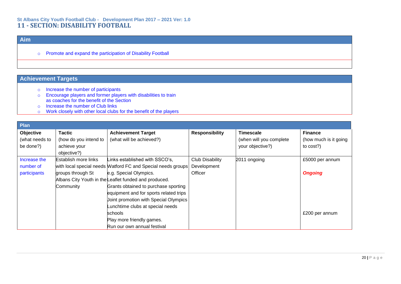#### **St Albans City Youth Football Club - Development Plan 2017 – 2021 Ver: 1.0 11 - SECTION: DISABILITY FOOTBALL**

## **Aim**

o Promote and expand the participation of Disability Football

- o Increase the number of participants
- o Encourage players and former players with disabilities to train as coaches for the benefit of the Section
- o Increase the number of Club links
- o Work closely with other local clubs for the benefit of the players

| Plan           |                       |                                                              |                       |                         |                       |  |
|----------------|-----------------------|--------------------------------------------------------------|-----------------------|-------------------------|-----------------------|--|
| Objective      | <b>Tactic</b>         | <b>Achievement Target</b>                                    | <b>Responsibility</b> | Timescale               | <b>Finance</b>        |  |
| (what needs to | (how do you intend to | (what will be achieved?)                                     |                       | (when will you complete | (how much is it going |  |
| be done?)      | achieve your          |                                                              |                       | your objective?)        | to cost?)             |  |
|                | objective?)           |                                                              |                       |                         |                       |  |
| Increase the   | Establish more links  | Links established with SSCO's,                               | Club Disability       | 2011 ongoing            | £5000 per annum       |  |
| number of      |                       | with local special needs Watford FC and Special needs groups | Development           |                         |                       |  |
| participants   | groups through St     | e.g. Special Olympics.                                       | Officer               |                         | <b>Ongoing</b>        |  |
|                |                       | Albans City Youth in the Leaflet funded and produced.        |                       |                         |                       |  |
|                | Community             | Grants obtained to purchase sporting                         |                       |                         |                       |  |
|                |                       | equipment and for sports related trips                       |                       |                         |                       |  |
|                |                       | Joint promotion with Special Olympics                        |                       |                         |                       |  |
|                |                       | Lunchtime clubs at special needs                             |                       |                         |                       |  |
|                |                       | schools                                                      |                       |                         | £200 per annum        |  |
|                |                       | Play more friendly games.                                    |                       |                         |                       |  |
|                |                       | Run our own annual festival                                  |                       |                         |                       |  |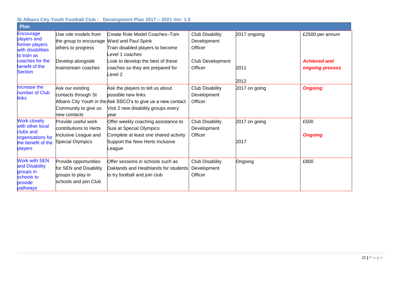| St Albans City Youth Football Club - Development Plan 2017 – 2021 Ver: 1.0                                                            |                                                                                                                 |                                                                                                                                                                                              |                                                                                 |                              |                                                           |  |
|---------------------------------------------------------------------------------------------------------------------------------------|-----------------------------------------------------------------------------------------------------------------|----------------------------------------------------------------------------------------------------------------------------------------------------------------------------------------------|---------------------------------------------------------------------------------|------------------------------|-----------------------------------------------------------|--|
| <b>Plan</b>                                                                                                                           |                                                                                                                 |                                                                                                                                                                                              |                                                                                 |                              |                                                           |  |
| Encourage<br>players and<br>former players<br>with disabilities<br>to train as<br>coaches for the<br>benefit of the<br><b>Section</b> | Use role models from<br>the group to encourage<br>others to progress<br>Develop alongside<br>mainstream coaches | Create Role Model Coaches-Tom<br>Ward and Paul Spink<br>Train disabled players to become<br>evel 1 coaches<br>ook to develop the best of these<br>coaches so they are prepared for<br>evel 2 | <b>Club Disability</b><br>Development<br>Officer<br>Club Development<br>Officer | 2017 ongoing<br>2011<br>2012 | £2500 per annum<br><b>Achieved and</b><br>ongoing process |  |
| Increase the<br>number of Club<br>links                                                                                               | Ask our existing<br>contacts through St<br>Community to give us<br>new contacts                                 | Ask the players to tell us about<br>possible new links<br>Albans City Youth in the Ask SSCO's to give us a new contact<br>Visit 2 new disability groups every<br>vear                        | <b>Club Disability</b><br>Development<br>Officer                                | 2017 on going                | <b>Ongoing</b>                                            |  |
| <b>Work closely</b><br>with other local<br>clubs and<br>organisations for<br>the benefit of the<br>players                            | Provide useful work<br>contributions to Herts<br>Inclusive League and<br><b>Special Olympics</b>                | Offer weekly coaching assistance to<br>Susi at Special Olympics<br>Complete at least one shared activity<br>Support the New Herts Inclusive<br>_eague                                        | Club Disability<br>Development<br>Officer                                       | 2017 on going<br>2017        | £500<br><b>Ongoing</b>                                    |  |
| <b>Work with SEN</b><br>and Disability<br>groups in<br>schools to<br>provide<br>pathways                                              | Provide opportunities<br>for SEN and Disability<br>groups to play in<br>schools and join Club                   | Offer sessions in schools such as<br>Oaklands and Heathlands for students<br>to try football and join club                                                                                   | <b>Club Disability</b><br>Development<br>Officer                                | Ongoing                      | £800                                                      |  |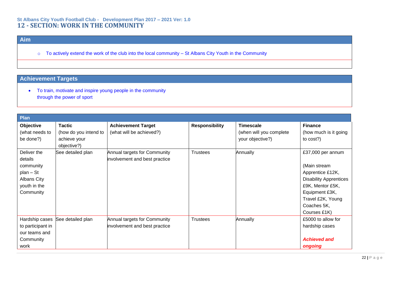#### **St Albans City Youth Football Club - Development Plan 2017 – 2021 Ver: 1.0 12 - SECTION: WORK IN THE COMMUNITY**

## **Aim**

o To actively extend the work of the club into the local community – St Albans City Youth in the Community

## **Achievement Targets**

• To train, motivate and inspire young people in the community through the power of sport

| Plan                                                                                         |                                                                       |                                                               |                       |                                                                 |                                                                                                                                                                                  |
|----------------------------------------------------------------------------------------------|-----------------------------------------------------------------------|---------------------------------------------------------------|-----------------------|-----------------------------------------------------------------|----------------------------------------------------------------------------------------------------------------------------------------------------------------------------------|
| Objective<br>(what needs to<br>be done?)                                                     | <b>Tactic</b><br>(how do you intend to<br>achieve your<br>objective?) | <b>Achievement Target</b><br>(what will be achieved?)         | <b>Responsibility</b> | <b>Timescale</b><br>(when will you complete<br>your objective?) | <b>Finance</b><br>(how much is it going<br>to $cost$ ?)                                                                                                                          |
| Deliver the<br>details<br>community<br>plan - St<br>Albans City<br>youth in the<br>Community | See detailed plan                                                     | Annual targets for Community<br>involvement and best practice | <b>Trustees</b>       | Annually                                                        | £37,000 per annum<br>(Main stream<br>Apprentice £12K,<br><b>Disability Apprentices</b><br>£9K, Mentor £5K,<br>Equipment £3K,<br>Travel £2K, Young<br>Coaches 5K,<br>Courses £1K) |
| Hardship cases<br>to participant in<br>our teams and<br>Community<br>work                    | See detailed plan                                                     | Annual targets for Community<br>involvement and best practice | <b>Trustees</b>       | Annually                                                        | £5000 to allow for<br>hardship cases<br><b>Achieved and</b><br>ongoing                                                                                                           |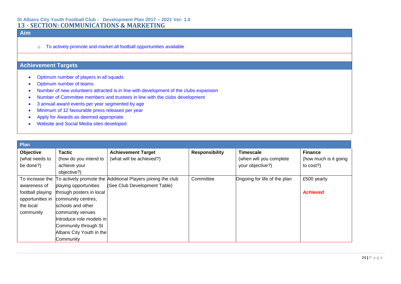#### **St Albans City Youth Football Club - Development Plan 2017 – 2021 Ver: 1.0 13 - SECTION: COMMUNICATIONS & MARKETING**

## **Aim**

o To actively promote and market all football opportunities available

- Optimum number of players in all squads
- Optimum number of teams
- Number of new volunteers attracted is in line with development of the clubs expansion
- Number of Committee members and trustees in line with the clubs development
- 3 annual award events per year segmented by age
- Minimum of 12 favourable press releases per year
- Apply for Awards as deemed appropriate
- Website and Social Media sites developed

| <b>Plan</b>      |                           |                                                             |                       |                              |                       |
|------------------|---------------------------|-------------------------------------------------------------|-----------------------|------------------------------|-----------------------|
| Objective        | Tactic                    | <b>Achievement Target</b>                                   | <b>Responsibility</b> | <b>Timescale</b>             | <b>Finance</b>        |
| (what needs to   | (how do you intend to     | (what will be achieved?)                                    |                       | (when will you complete      | (how much is it going |
| be done?)        | achieve your              |                                                             |                       | your objective?)             | to cost?)             |
|                  | objective?)               |                                                             |                       |                              |                       |
| To increase the  |                           | To actively promote the Additional Players joining the club | Committee             | Ongoing for life of the plan | £500 yearly           |
| awareness of     | playing opportunities     | (See Club Development Table)                                |                       |                              |                       |
| football playing | through posters in local  |                                                             |                       |                              | <b>Achieved</b>       |
| opportunities in | community centres,        |                                                             |                       |                              |                       |
| the local        | schools and other         |                                                             |                       |                              |                       |
| community        | community venues          |                                                             |                       |                              |                       |
|                  | Introduce role models inl |                                                             |                       |                              |                       |
|                  | Community through St      |                                                             |                       |                              |                       |
|                  | Albans City Youth in the  |                                                             |                       |                              |                       |
|                  | Community                 |                                                             |                       |                              |                       |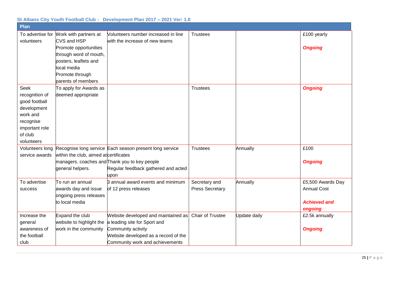#### **Plan** To advertise for Work with partners at volunteers CVS and HSP Promote opportunities through word of mouth, posters, leaflets and local media Promote through parents of members Volunteers number increased in line with the increase of new teams Trustees and the contract of the contract of the contract of the contract of the contract of the contract of the contract of the contract of the contract of the contract of the contract of the contract of the contract of t *Ongoing* Seek recognition of good football development work and recognise important role of club volunteers To apply for Awards as deemed appropriate Trustees *Ongoing* Volunteers long Recognise long service Each season present long service service awards within the club, aimed at certificates managers. coaches and Thank you to key people general helpers. Regular feedback gathered and acted upon Trustees Annually **E**100 *Ongoing* To advertise success To run an annual awards day and issue ongoing press releases to local media 3 annual award events and minimum of 12 press releases Secretary and Press Secretary Annually £5,500 Awards Day Annual Cost *Achieved and ongoing* Increase the general awareness of the football club Expand the club website to highlight the a leading site for Sport and work in the community Website developed and maintained as Chair of Trustee  $\qquad$  Update daily  $\qquad \qquad \qquad$  £2.5k annually Community activity Website developed as a record of the Community work and achievements *Ongoing*